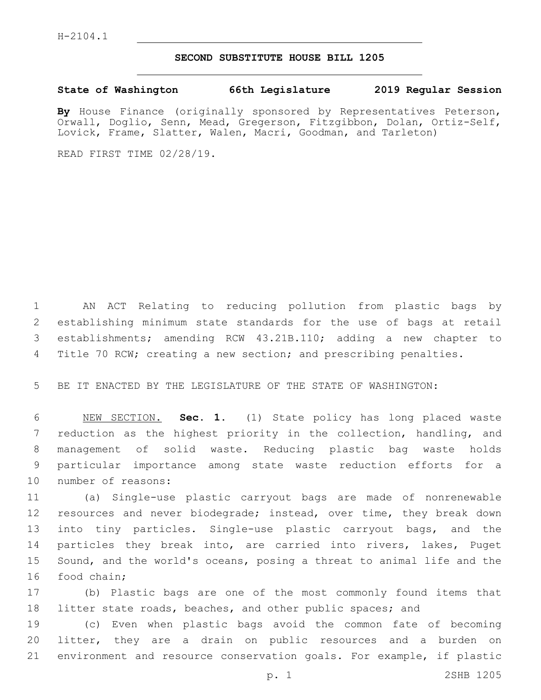## **SECOND SUBSTITUTE HOUSE BILL 1205**

**State of Washington 66th Legislature 2019 Regular Session**

**By** House Finance (originally sponsored by Representatives Peterson, Orwall, Doglio, Senn, Mead, Gregerson, Fitzgibbon, Dolan, Ortiz-Self, Lovick, Frame, Slatter, Walen, Macri, Goodman, and Tarleton)

READ FIRST TIME 02/28/19.

 AN ACT Relating to reducing pollution from plastic bags by establishing minimum state standards for the use of bags at retail establishments; amending RCW 43.21B.110; adding a new chapter to Title 70 RCW; creating a new section; and prescribing penalties.

5 BE IT ENACTED BY THE LEGISLATURE OF THE STATE OF WASHINGTON:

 NEW SECTION. **Sec. 1.** (1) State policy has long placed waste reduction as the highest priority in the collection, handling, and management of solid waste. Reducing plastic bag waste holds particular importance among state waste reduction efforts for a number of reasons:

11 (a) Single-use plastic carryout bags are made of nonrenewable 12 resources and never biodegrade; instead, over time, they break down 13 into tiny particles. Single-use plastic carryout bags, and the 14 particles they break into, are carried into rivers, lakes, Puget 15 Sound, and the world's oceans, posing a threat to animal life and the 16 food chain;

17 (b) Plastic bags are one of the most commonly found items that 18 litter state roads, beaches, and other public spaces; and

19 (c) Even when plastic bags avoid the common fate of becoming 20 litter, they are a drain on public resources and a burden on 21 environment and resource conservation goals. For example, if plastic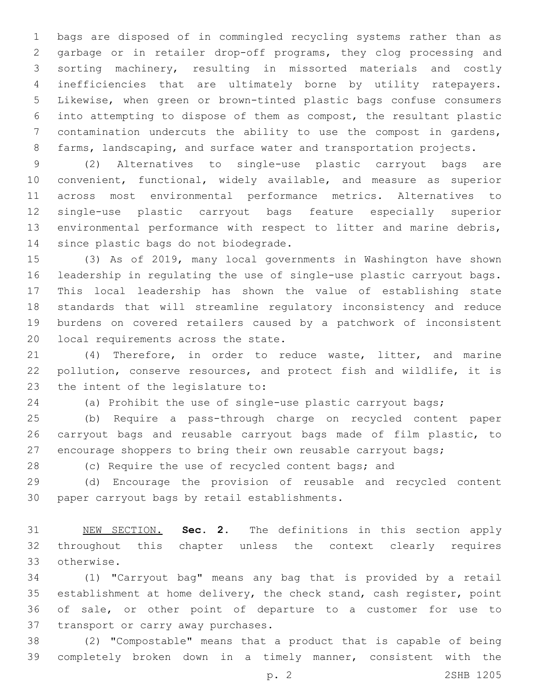bags are disposed of in commingled recycling systems rather than as garbage or in retailer drop-off programs, they clog processing and sorting machinery, resulting in missorted materials and costly inefficiencies that are ultimately borne by utility ratepayers. Likewise, when green or brown-tinted plastic bags confuse consumers into attempting to dispose of them as compost, the resultant plastic contamination undercuts the ability to use the compost in gardens, 8 farms, landscaping, and surface water and transportation projects.

 (2) Alternatives to single-use plastic carryout bags are convenient, functional, widely available, and measure as superior across most environmental performance metrics. Alternatives to single-use plastic carryout bags feature especially superior environmental performance with respect to litter and marine debris, 14 since plastic bags do not biodegrade.

 (3) As of 2019, many local governments in Washington have shown leadership in regulating the use of single-use plastic carryout bags. This local leadership has shown the value of establishing state standards that will streamline regulatory inconsistency and reduce burdens on covered retailers caused by a patchwork of inconsistent 20 local requirements across the state.

 (4) Therefore, in order to reduce waste, litter, and marine pollution, conserve resources, and protect fish and wildlife, it is 23 the intent of the legislature to:

(a) Prohibit the use of single-use plastic carryout bags;

 (b) Require a pass-through charge on recycled content paper carryout bags and reusable carryout bags made of film plastic, to encourage shoppers to bring their own reusable carryout bags;

28 (c) Require the use of recycled content bags; and

 (d) Encourage the provision of reusable and recycled content 30 paper carryout bags by retail establishments.

 NEW SECTION. **Sec. 2.** The definitions in this section apply throughout this chapter unless the context clearly requires otherwise.

 (1) "Carryout bag" means any bag that is provided by a retail establishment at home delivery, the check stand, cash register, point of sale, or other point of departure to a customer for use to 37 transport or carry away purchases.

 (2) "Compostable" means that a product that is capable of being completely broken down in a timely manner, consistent with the

p. 2 2SHB 1205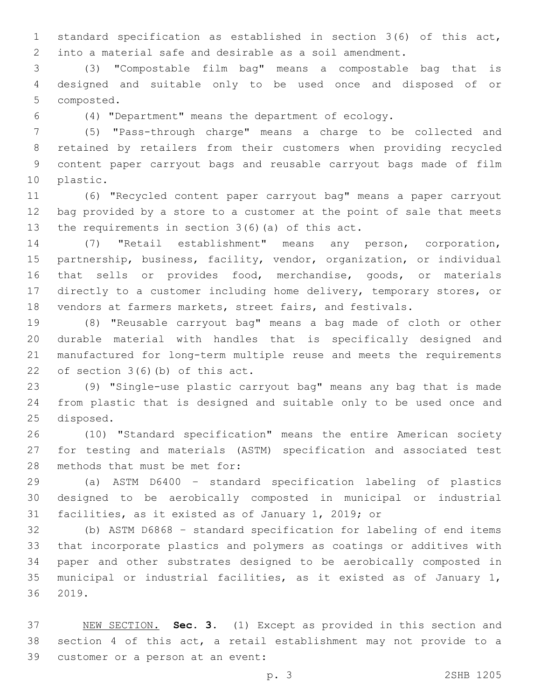standard specification as established in section 3(6) of this act, into a material safe and desirable as a soil amendment.

 (3) "Compostable film bag" means a compostable bag that is designed and suitable only to be used once and disposed of or 5 composted.

(4) "Department" means the department of ecology.

 (5) "Pass-through charge" means a charge to be collected and retained by retailers from their customers when providing recycled content paper carryout bags and reusable carryout bags made of film 10 plastic.

 (6) "Recycled content paper carryout bag" means a paper carryout bag provided by a store to a customer at the point of sale that meets 13 the requirements in section  $3(6)$  (a) of this act.

 (7) "Retail establishment" means any person, corporation, partnership, business, facility, vendor, organization, or individual that sells or provides food, merchandise, goods, or materials directly to a customer including home delivery, temporary stores, or vendors at farmers markets, street fairs, and festivals.

 (8) "Reusable carryout bag" means a bag made of cloth or other durable material with handles that is specifically designed and manufactured for long-term multiple reuse and meets the requirements 22 of section  $3(6)(b)$  of this act.

 (9) "Single-use plastic carryout bag" means any bag that is made from plastic that is designed and suitable only to be used once and 25 disposed.

 (10) "Standard specification" means the entire American society for testing and materials (ASTM) specification and associated test 28 methods that must be met for:

 (a) ASTM D6400 – standard specification labeling of plastics designed to be aerobically composted in municipal or industrial facilities, as it existed as of January 1, 2019; or

 (b) ASTM D6868 – standard specification for labeling of end items that incorporate plastics and polymers as coatings or additives with paper and other substrates designed to be aerobically composted in municipal or industrial facilities, as it existed as of January 1, 36 2019.

 NEW SECTION. **Sec. 3.** (1) Except as provided in this section and section 4 of this act, a retail establishment may not provide to a 39 customer or a person at an event: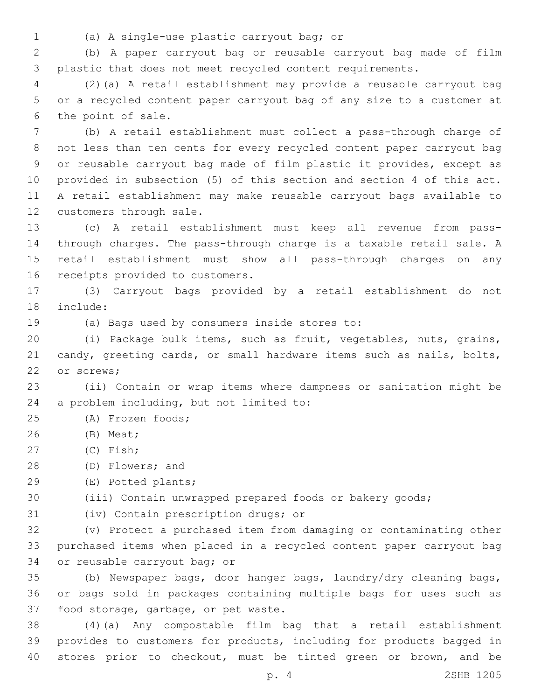- 
- (a) A single-use plastic carryout bag; or1

2 (b) A paper carryout bag or reusable carryout bag made of film 3 plastic that does not meet recycled content requirements.

4 (2)(a) A retail establishment may provide a reusable carryout bag 5 or a recycled content paper carryout bag of any size to a customer at 6 the point of sale.

 (b) A retail establishment must collect a pass-through charge of not less than ten cents for every recycled content paper carryout bag or reusable carryout bag made of film plastic it provides, except as provided in subsection (5) of this section and section 4 of this act. A retail establishment may make reusable carryout bags available to 12 customers through sale.

 (c) A retail establishment must keep all revenue from pass- through charges. The pass-through charge is a taxable retail sale. A retail establishment must show all pass-through charges on any 16 receipts provided to customers.

17 (3) Carryout bags provided by a retail establishment do not 18 include:

19 (a) Bags used by consumers inside stores to:

20 (i) Package bulk items, such as fruit, vegetables, nuts, grains, 21 candy, greeting cards, or small hardware items such as nails, bolts, 22 or screws;

23 (ii) Contain or wrap items where dampness or sanitation might be 24 a problem including, but not limited to:

- 25 (A) Frozen foods;
- (B) Meat;26
- (C) Fish;27
- 28 (D) Flowers; and
- (E) Potted plants;29

30 (iii) Contain unwrapped prepared foods or bakery goods;

31 (iv) Contain prescription drugs; or

32 (v) Protect a purchased item from damaging or contaminating other 33 purchased items when placed in a recycled content paper carryout bag 34 or reusable carryout bag; or

35 (b) Newspaper bags, door hanger bags, laundry/dry cleaning bags, 36 or bags sold in packages containing multiple bags for uses such as 37 food storage, garbage, or pet waste.

38 (4)(a) Any compostable film bag that a retail establishment 39 provides to customers for products, including for products bagged in 40 stores prior to checkout, must be tinted green or brown, and be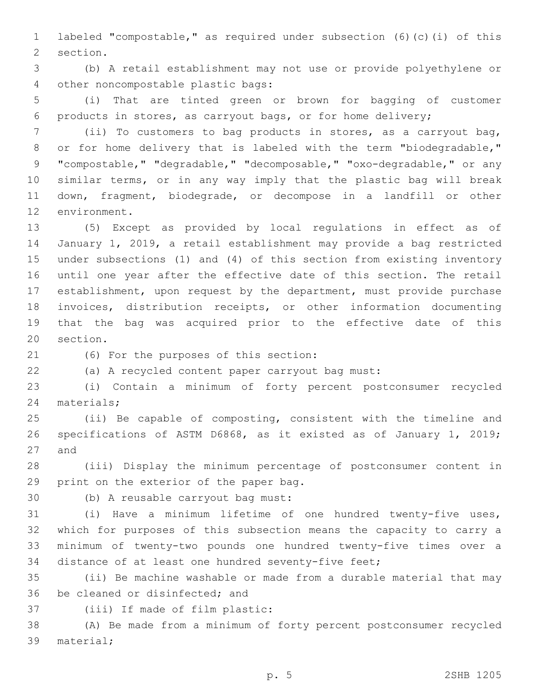labeled "compostable," as required under subsection (6)(c)(i) of this 2 section.

 (b) A retail establishment may not use or provide polyethylene or 4 other noncompostable plastic bags:

 (i) That are tinted green or brown for bagging of customer products in stores, as carryout bags, or for home delivery;

 (ii) To customers to bag products in stores, as a carryout bag, 8 or for home delivery that is labeled with the term "biodegradable," "compostable," "degradable," "decomposable," "oxo-degradable," or any similar terms, or in any way imply that the plastic bag will break down, fragment, biodegrade, or decompose in a landfill or other 12 environment.

 (5) Except as provided by local regulations in effect as of January 1, 2019, a retail establishment may provide a bag restricted under subsections (1) and (4) of this section from existing inventory until one year after the effective date of this section. The retail establishment, upon request by the department, must provide purchase invoices, distribution receipts, or other information documenting that the bag was acquired prior to the effective date of this 20 section.

(6) For the purposes of this section:21

(a) A recycled content paper carryout bag must:

 (i) Contain a minimum of forty percent postconsumer recycled 24 materials;

 (ii) Be capable of composting, consistent with the timeline and specifications of ASTM D6868, as it existed as of January 1, 2019; 27 and

 (iii) Display the minimum percentage of postconsumer content in 29 print on the exterior of the paper bag.

30 (b) A reusable carryout bag must:

 (i) Have a minimum lifetime of one hundred twenty-five uses, which for purposes of this subsection means the capacity to carry a minimum of twenty-two pounds one hundred twenty-five times over a distance of at least one hundred seventy-five feet;

 (ii) Be machine washable or made from a durable material that may 36 be cleaned or disinfected; and

37 (iii) If made of film plastic:

 (A) Be made from a minimum of forty percent postconsumer recycled 39 material;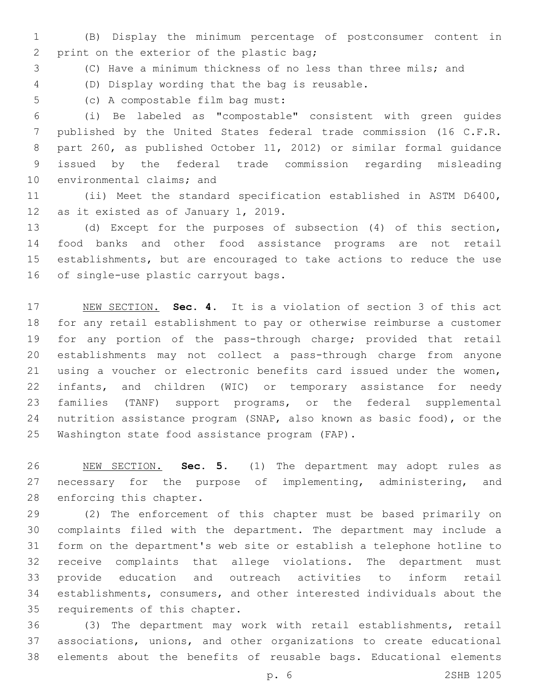(B) Display the minimum percentage of postconsumer content in 2 print on the exterior of the plastic bag;

(C) Have a minimum thickness of no less than three mils; and

(D) Display wording that the bag is reusable.4

5 (c) A compostable film bag must:

 (i) Be labeled as "compostable" consistent with green guides published by the United States federal trade commission (16 C.F.R. part 260, as published October 11, 2012) or similar formal guidance issued by the federal trade commission regarding misleading 10 environmental claims; and

 (ii) Meet the standard specification established in ASTM D6400, 12 as it existed as of January 1, 2019.

 (d) Except for the purposes of subsection (4) of this section, food banks and other food assistance programs are not retail establishments, but are encouraged to take actions to reduce the use 16 of single-use plastic carryout bags.

 NEW SECTION. **Sec. 4.** It is a violation of section 3 of this act for any retail establishment to pay or otherwise reimburse a customer for any portion of the pass-through charge; provided that retail establishments may not collect a pass-through charge from anyone using a voucher or electronic benefits card issued under the women, infants, and children (WIC) or temporary assistance for needy families (TANF) support programs, or the federal supplemental nutrition assistance program (SNAP, also known as basic food), or the Washington state food assistance program (FAP).

 NEW SECTION. **Sec. 5.** (1) The department may adopt rules as necessary for the purpose of implementing, administering, and enforcing this chapter.

 (2) The enforcement of this chapter must be based primarily on complaints filed with the department. The department may include a form on the department's web site or establish a telephone hotline to receive complaints that allege violations. The department must provide education and outreach activities to inform retail establishments, consumers, and other interested individuals about the 35 requirements of this chapter.

 (3) The department may work with retail establishments, retail associations, unions, and other organizations to create educational elements about the benefits of reusable bags. Educational elements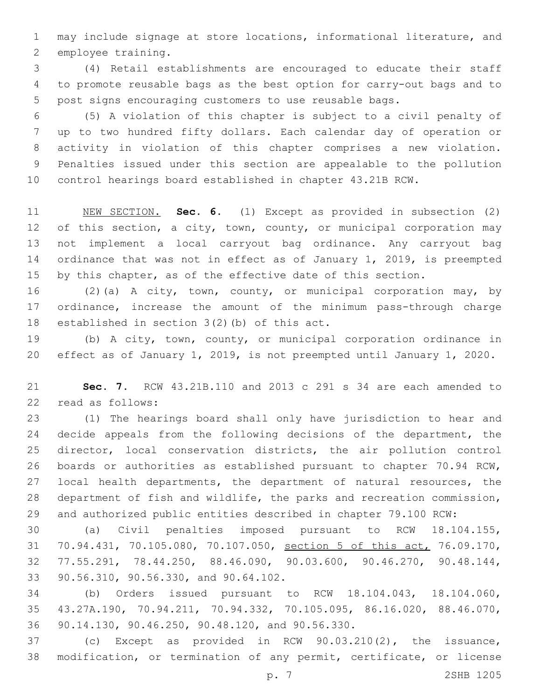may include signage at store locations, informational literature, and 2 employee training.

 (4) Retail establishments are encouraged to educate their staff to promote reusable bags as the best option for carry-out bags and to post signs encouraging customers to use reusable bags.

 (5) A violation of this chapter is subject to a civil penalty of up to two hundred fifty dollars. Each calendar day of operation or activity in violation of this chapter comprises a new violation. Penalties issued under this section are appealable to the pollution control hearings board established in chapter 43.21B RCW.

 NEW SECTION. **Sec. 6.** (1) Except as provided in subsection (2) 12 of this section, a city, town, county, or municipal corporation may not implement a local carryout bag ordinance. Any carryout bag ordinance that was not in effect as of January 1, 2019, is preempted by this chapter, as of the effective date of this section.

 (2)(a) A city, town, county, or municipal corporation may, by ordinance, increase the amount of the minimum pass-through charge 18 established in section  $3(2)$  (b) of this act.

 (b) A city, town, county, or municipal corporation ordinance in effect as of January 1, 2019, is not preempted until January 1, 2020.

 **Sec. 7.** RCW 43.21B.110 and 2013 c 291 s 34 are each amended to 22 read as follows:

 (1) The hearings board shall only have jurisdiction to hear and decide appeals from the following decisions of the department, the director, local conservation districts, the air pollution control boards or authorities as established pursuant to chapter 70.94 RCW, local health departments, the department of natural resources, the department of fish and wildlife, the parks and recreation commission, and authorized public entities described in chapter 79.100 RCW:

 (a) Civil penalties imposed pursuant to RCW 18.104.155, 70.94.431, 70.105.080, 70.107.050, section 5 of this act, 76.09.170, 77.55.291, 78.44.250, 88.46.090, 90.03.600, 90.46.270, 90.48.144, 33 90.56.310, 90.56.330, and 90.64.102.

 (b) Orders issued pursuant to RCW 18.104.043, 18.104.060, 43.27A.190, 70.94.211, 70.94.332, 70.105.095, 86.16.020, 88.46.070, 36 90.14.130, 90.46.250, 90.48.120, and 90.56.330.

 (c) Except as provided in RCW 90.03.210(2), the issuance, modification, or termination of any permit, certificate, or license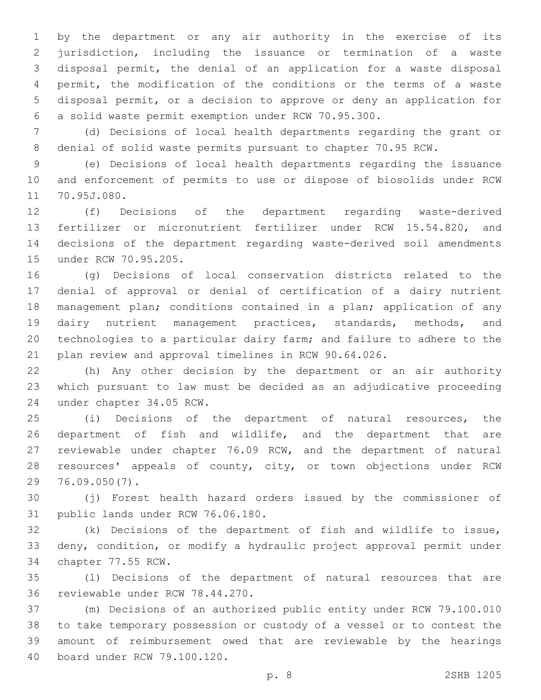by the department or any air authority in the exercise of its jurisdiction, including the issuance or termination of a waste disposal permit, the denial of an application for a waste disposal permit, the modification of the conditions or the terms of a waste disposal permit, or a decision to approve or deny an application for a solid waste permit exemption under RCW 70.95.300.

 (d) Decisions of local health departments regarding the grant or denial of solid waste permits pursuant to chapter 70.95 RCW.

 (e) Decisions of local health departments regarding the issuance and enforcement of permits to use or dispose of biosolids under RCW 11 70.95J.080.

 (f) Decisions of the department regarding waste-derived fertilizer or micronutrient fertilizer under RCW 15.54.820, and decisions of the department regarding waste-derived soil amendments 15 under RCW 70.95.205.

 (g) Decisions of local conservation districts related to the denial of approval or denial of certification of a dairy nutrient management plan; conditions contained in a plan; application of any dairy nutrient management practices, standards, methods, and technologies to a particular dairy farm; and failure to adhere to the plan review and approval timelines in RCW 90.64.026.

 (h) Any other decision by the department or an air authority which pursuant to law must be decided as an adjudicative proceeding 24 under chapter 34.05 RCW.

 (i) Decisions of the department of natural resources, the department of fish and wildlife, and the department that are reviewable under chapter 76.09 RCW, and the department of natural resources' appeals of county, city, or town objections under RCW 76.09.050(7).29

 (j) Forest health hazard orders issued by the commissioner of 31 public lands under RCW 76.06.180.

 (k) Decisions of the department of fish and wildlife to issue, deny, condition, or modify a hydraulic project approval permit under 34 chapter 77.55 RCW.

 (l) Decisions of the department of natural resources that are 36 reviewable under RCW 78.44.270.

 (m) Decisions of an authorized public entity under RCW 79.100.010 to take temporary possession or custody of a vessel or to contest the amount of reimbursement owed that are reviewable by the hearings 40 board under RCW 79.100.120.